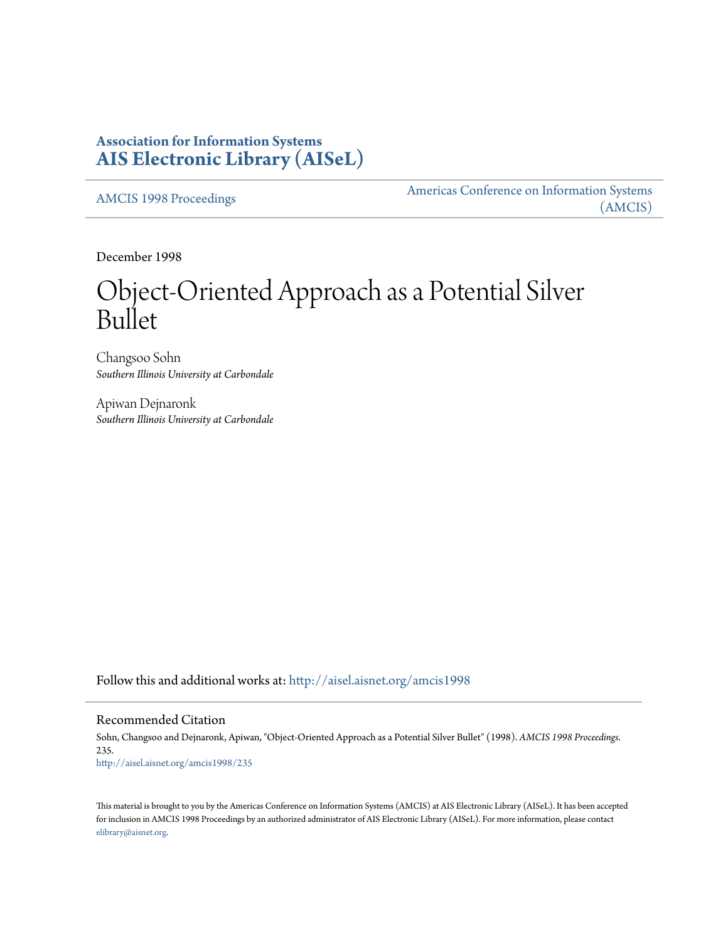# **Association for Information Systems [AIS Electronic Library \(AISeL\)](http://aisel.aisnet.org?utm_source=aisel.aisnet.org%2Famcis1998%2F235&utm_medium=PDF&utm_campaign=PDFCoverPages)**

[AMCIS 1998 Proceedings](http://aisel.aisnet.org/amcis1998?utm_source=aisel.aisnet.org%2Famcis1998%2F235&utm_medium=PDF&utm_campaign=PDFCoverPages)

[Americas Conference on Information Systems](http://aisel.aisnet.org/amcis?utm_source=aisel.aisnet.org%2Famcis1998%2F235&utm_medium=PDF&utm_campaign=PDFCoverPages) [\(AMCIS\)](http://aisel.aisnet.org/amcis?utm_source=aisel.aisnet.org%2Famcis1998%2F235&utm_medium=PDF&utm_campaign=PDFCoverPages)

December 1998

# Object-Oriented Approach as a Potential Silver Bullet

Changsoo Sohn *Southern Illinois University at Carbondale*

Apiwan Dejnaronk *Southern Illinois University at Carbondale*

Follow this and additional works at: [http://aisel.aisnet.org/amcis1998](http://aisel.aisnet.org/amcis1998?utm_source=aisel.aisnet.org%2Famcis1998%2F235&utm_medium=PDF&utm_campaign=PDFCoverPages)

## Recommended Citation

Sohn, Changsoo and Dejnaronk, Apiwan, "Object-Oriented Approach as a Potential Silver Bullet" (1998). *AMCIS 1998 Proceedings*. 235. [http://aisel.aisnet.org/amcis1998/235](http://aisel.aisnet.org/amcis1998/235?utm_source=aisel.aisnet.org%2Famcis1998%2F235&utm_medium=PDF&utm_campaign=PDFCoverPages)

This material is brought to you by the Americas Conference on Information Systems (AMCIS) at AIS Electronic Library (AISeL). It has been accepted for inclusion in AMCIS 1998 Proceedings by an authorized administrator of AIS Electronic Library (AISeL). For more information, please contact [elibrary@aisnet.org.](mailto:elibrary@aisnet.org%3E)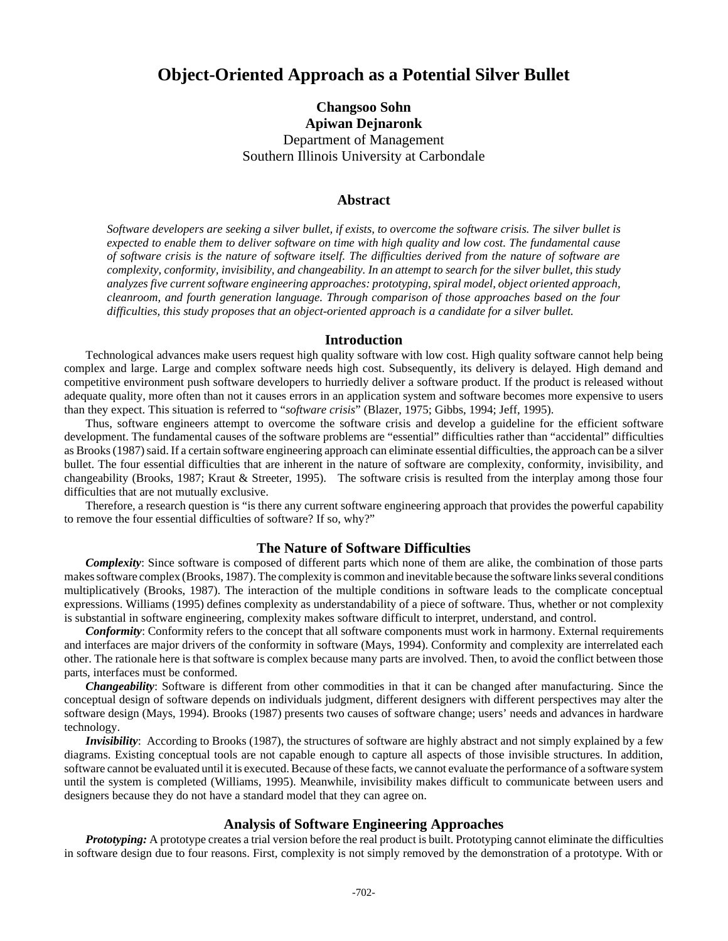# **Object-Oriented Approach as a Potential Silver Bullet**

**Changsoo Sohn Apiwan Dejnaronk** Department of Management Southern Illinois University at Carbondale

#### **Abstract**

*Software developers are seeking a silver bullet, if exists, to overcome the software crisis. The silver bullet is expected to enable them to deliver software on time with high quality and low cost. The fundamental cause of software crisis is the nature of software itself. The difficulties derived from the nature of software are complexity, conformity, invisibility, and changeability. In an attempt to search for the silver bullet, this study analyzes five current software engineering approaches: prototyping, spiral model, object oriented approach, cleanroom, and fourth generation language. Through comparison of those approaches based on the four difficulties, this study proposes that an object-oriented approach is a candidate for a silver bullet.* 

# **Introduction**

Technological advances make users request high quality software with low cost. High quality software cannot help being complex and large. Large and complex software needs high cost. Subsequently, its delivery is delayed. High demand and competitive environment push software developers to hurriedly deliver a software product. If the product is released without adequate quality, more often than not it causes errors in an application system and software becomes more expensive to users than they expect. This situation is referred to "*software crisis*" (Blazer, 1975; Gibbs, 1994; Jeff, 1995).

Thus, software engineers attempt to overcome the software crisis and develop a guideline for the efficient software development. The fundamental causes of the software problems are "essential" difficulties rather than "accidental" difficulties as Brooks (1987) said. If a certain software engineering approach can eliminate essential difficulties, the approach can be a silver bullet. The four essential difficulties that are inherent in the nature of software are complexity, conformity, invisibility, and changeability (Brooks, 1987; Kraut & Streeter, 1995). The software crisis is resulted from the interplay among those four difficulties that are not mutually exclusive.

Therefore, a research question is "is there any current software engineering approach that provides the powerful capability to remove the four essential difficulties of software? If so, why?"

# **The Nature of Software Difficulties**

*Complexity*: Since software is composed of different parts which none of them are alike, the combination of those parts makes software complex (Brooks, 1987). The complexity is common and inevitable because the software links several conditions multiplicatively (Brooks, 1987). The interaction of the multiple conditions in software leads to the complicate conceptual expressions. Williams (1995) defines complexity as understandability of a piece of software. Thus, whether or not complexity is substantial in software engineering, complexity makes software difficult to interpret, understand, and control.

*Conformity*: Conformity refers to the concept that all software components must work in harmony. External requirements and interfaces are major drivers of the conformity in software (Mays, 1994). Conformity and complexity are interrelated each other. The rationale here is that software is complex because many parts are involved. Then, to avoid the conflict between those parts, interfaces must be conformed.

*Changeability*: Software is different from other commodities in that it can be changed after manufacturing. Since the conceptual design of software depends on individuals judgment, different designers with different perspectives may alter the software design (Mays, 1994). Brooks (1987) presents two causes of software change; users' needs and advances in hardware technology.

*Invisibility*: According to Brooks (1987), the structures of software are highly abstract and not simply explained by a few diagrams. Existing conceptual tools are not capable enough to capture all aspects of those invisible structures. In addition, software cannot be evaluated until it is executed. Because of these facts, we cannot evaluate the performance of a software system until the system is completed (Williams, 1995). Meanwhile, invisibility makes difficult to communicate between users and designers because they do not have a standard model that they can agree on.

#### **Analysis of Software Engineering Approaches**

*Prototyping:* A prototype creates a trial version before the real product is built. Prototyping cannot eliminate the difficulties in software design due to four reasons. First, complexity is not simply removed by the demonstration of a prototype. With or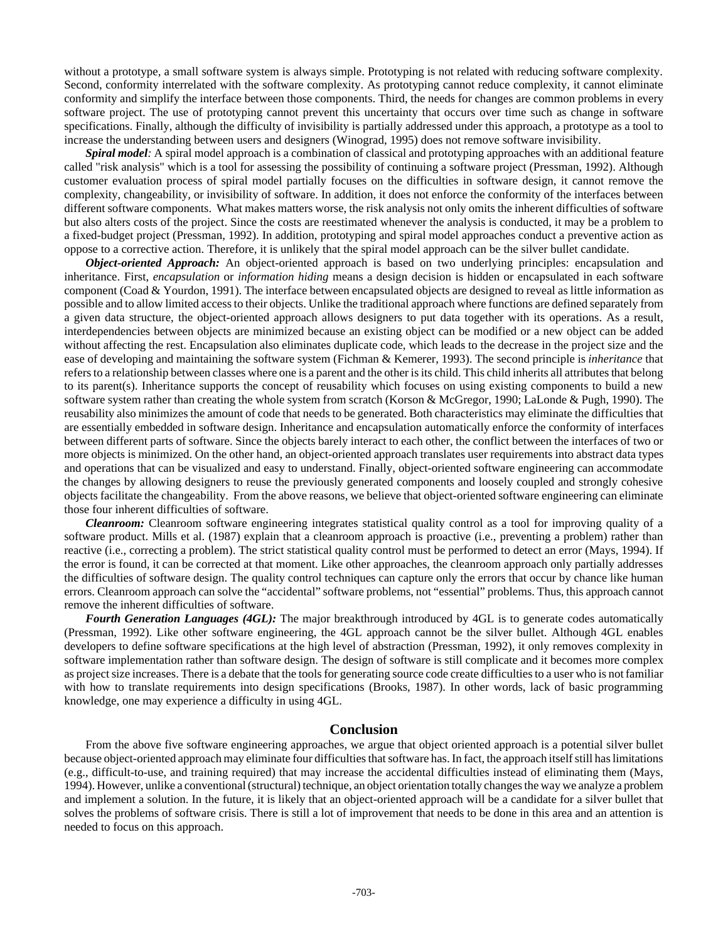without a prototype, a small software system is always simple. Prototyping is not related with reducing software complexity. Second, conformity interrelated with the software complexity. As prototyping cannot reduce complexity, it cannot eliminate conformity and simplify the interface between those components. Third, the needs for changes are common problems in every software project. The use of prototyping cannot prevent this uncertainty that occurs over time such as change in software specifications. Finally, although the difficulty of invisibility is partially addressed under this approach, a prototype as a tool to increase the understanding between users and designers (Winograd, 1995) does not remove software invisibility.

*Spiral model:* A spiral model approach is a combination of classical and prototyping approaches with an additional feature called "risk analysis" which is a tool for assessing the possibility of continuing a software project (Pressman, 1992). Although customer evaluation process of spiral model partially focuses on the difficulties in software design, it cannot remove the complexity, changeability, or invisibility of software. In addition, it does not enforce the conformity of the interfaces between different software components. What makes matters worse, the risk analysis not only omits the inherent difficulties of software but also alters costs of the project. Since the costs are reestimated whenever the analysis is conducted, it may be a problem to a fixed-budget project (Pressman, 1992). In addition, prototyping and spiral model approaches conduct a preventive action as oppose to a corrective action. Therefore, it is unlikely that the spiral model approach can be the silver bullet candidate.

*Object-oriented Approach:* An object-oriented approach is based on two underlying principles: encapsulation and inheritance. First, *encapsulation* or *information hiding* means a design decision is hidden or encapsulated in each software component (Coad & Yourdon, 1991). The interface between encapsulated objects are designed to reveal as little information as possible and to allow limited access to their objects. Unlike the traditional approach where functions are defined separately from a given data structure, the object-oriented approach allows designers to put data together with its operations. As a result, interdependencies between objects are minimized because an existing object can be modified or a new object can be added without affecting the rest. Encapsulation also eliminates duplicate code, which leads to the decrease in the project size and the ease of developing and maintaining the software system (Fichman & Kemerer, 1993). The second principle is *inheritance* that refers to a relationship between classes where one is a parent and the other is its child. This child inherits all attributes that belong to its parent(s). Inheritance supports the concept of reusability which focuses on using existing components to build a new software system rather than creating the whole system from scratch (Korson & McGregor, 1990; LaLonde & Pugh, 1990). The reusability also minimizes the amount of code that needs to be generated. Both characteristics may eliminate the difficulties that are essentially embedded in software design. Inheritance and encapsulation automatically enforce the conformity of interfaces between different parts of software. Since the objects barely interact to each other, the conflict between the interfaces of two or more objects is minimized. On the other hand, an object-oriented approach translates user requirements into abstract data types and operations that can be visualized and easy to understand. Finally, object-oriented software engineering can accommodate the changes by allowing designers to reuse the previously generated components and loosely coupled and strongly cohesive objects facilitate the changeability. From the above reasons, we believe that object-oriented software engineering can eliminate those four inherent difficulties of software.

*Cleanroom:* Cleanroom software engineering integrates statistical quality control as a tool for improving quality of a software product. Mills et al. (1987) explain that a cleanroom approach is proactive (i.e., preventing a problem) rather than reactive (i.e., correcting a problem). The strict statistical quality control must be performed to detect an error (Mays, 1994). If the error is found, it can be corrected at that moment. Like other approaches, the cleanroom approach only partially addresses the difficulties of software design. The quality control techniques can capture only the errors that occur by chance like human errors. Cleanroom approach can solve the "accidental" software problems, not "essential" problems. Thus, this approach cannot remove the inherent difficulties of software.

*Fourth Generation Languages (4GL):* The major breakthrough introduced by 4GL is to generate codes automatically (Pressman, 1992). Like other software engineering, the 4GL approach cannot be the silver bullet. Although 4GL enables developers to define software specifications at the high level of abstraction (Pressman, 1992), it only removes complexity in software implementation rather than software design. The design of software is still complicate and it becomes more complex as project size increases. There is a debate that the tools for generating source code create difficulties to a user who is not familiar with how to translate requirements into design specifications (Brooks, 1987). In other words, lack of basic programming knowledge, one may experience a difficulty in using 4GL.

### **Conclusion**

From the above five software engineering approaches, we argue that object oriented approach is a potential silver bullet because object-oriented approach may eliminate four difficulties that software has. In fact, the approach itself still has limitations (e.g., difficult-to-use, and training required) that may increase the accidental difficulties instead of eliminating them (Mays, 1994). However, unlike a conventional (structural) technique, an object orientation totally changes the way we analyze a problem and implement a solution. In the future, it is likely that an object-oriented approach will be a candidate for a silver bullet that solves the problems of software crisis. There is still a lot of improvement that needs to be done in this area and an attention is needed to focus on this approach.